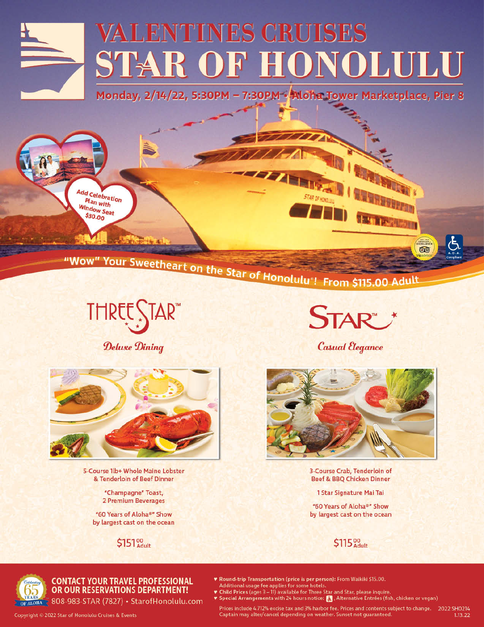

Monday, 2/14/22, 5:30PM - 7:30PM - Aloha Tower Marketplace, Pier 8



# "Wow" Your Sweetheart on the Star of Honolulu"! From \$115.00 Adult

THREE STAR"

**STAR** 

**Casual Elegance** 

**NEW YORK ON** 

EXCELLEN  $\circledcirc$ 

 $1.13.22$ 

FD STREET

Deluxe Dining



5-Course 1lb+ Whole Maine Lobster & Tenderloin of Beef Dinner

> "Champagne" Toast, 2 Premium Beverages

"60 Years of Aloha®" Show by largest cast on the ocean

\$151%



3-Course Crab, Tenderloin of Beef & BBQ Chicken Dinner

1 Star Signature Mai Tai

"60 Years of Aloha®" Show by largest cast on the ocean





#### **CONTACT YOUR TRAVEL PROFESSIONAL** OR OUR RESERVATIONS DEPARTMENT!

OF ALOHA & 808-983-STAR (7827) · StarofHonolulu.com

♥ Special Arrangements with 24 hours notice: 2 , Alternative Entrées (fish, chicken or vegan) Prices include 4.712% excise tax and 3% harbor fee. Prices and contents subject to change. 2022 SH0214 Captain may alter/cancel depending on weather. Sunset not guaranteed.

\* Round-trip Transportation (price is per person): From Waikiki \$15.00.

Child Prices (ages 3 - 11) available for Three Star and Star, please inquire.

Additional usage fee applies for some hotels.